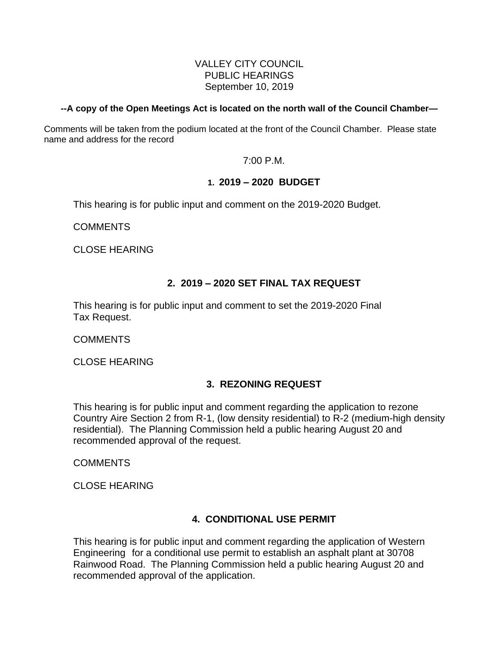### VALLEY CITY COUNCIL PUBLIC HEARINGS September 10, 2019

### **--A copy of the Open Meetings Act is located on the north wall of the Council Chamber—**

Comments will be taken from the podium located at the front of the Council Chamber. Please state name and address for the record

7:00 P.M.

### **1. 2019 – 2020 BUDGET**

This hearing is for public input and comment on the 2019-2020 Budget.

COMMENTS

CLOSE HEARING

## **2. 2019 – 2020 SET FINAL TAX REQUEST**

This hearing is for public input and comment to set the 2019-2020 Final Tax Request.

COMMENTS

CLOSE HEARING

# **3. REZONING REQUEST**

This hearing is for public input and comment regarding the application to rezone Country Aire Section 2 from R-1, (low density residential) to R-2 (medium-high density residential). The Planning Commission held a public hearing August 20 and recommended approval of the request.

COMMENTS

CLOSE HEARING

## **4. CONDITIONAL USE PERMIT**

This hearing is for public input and comment regarding the application of Western Engineering for a conditional use permit to establish an asphalt plant at 30708 Rainwood Road. The Planning Commission held a public hearing August 20 and recommended approval of the application.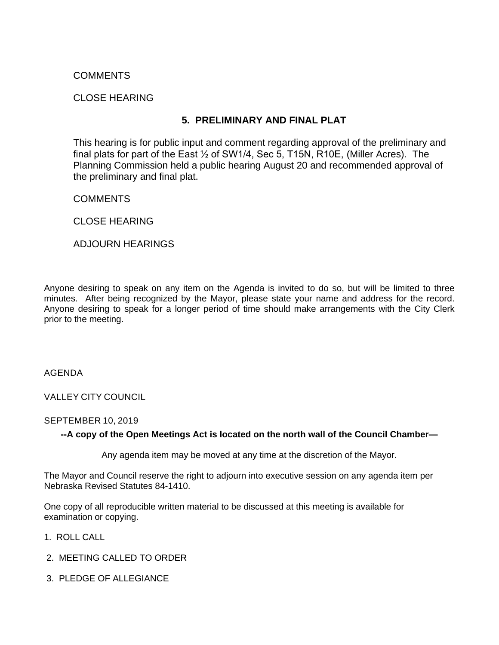## COMMENTS

### CLOSE HEARING

## **5. PRELIMINARY AND FINAL PLAT**

This hearing is for public input and comment regarding approval of the preliminary and final plats for part of the East ½ of SW1/4, Sec 5, T15N, R10E, (Miller Acres). The Planning Commission held a public hearing August 20 and recommended approval of the preliminary and final plat.

### **COMMENTS**

CLOSE HEARING

ADJOURN HEARINGS

Anyone desiring to speak on any item on the Agenda is invited to do so, but will be limited to three minutes. After being recognized by the Mayor, please state your name and address for the record. Anyone desiring to speak for a longer period of time should make arrangements with the City Clerk prior to the meeting.

AGENDA

VALLEY CITY COUNCIL

#### SEPTEMBER 10, 2019

### **--A copy of the Open Meetings Act is located on the north wall of the Council Chamber—**

Any agenda item may be moved at any time at the discretion of the Mayor.

The Mayor and Council reserve the right to adjourn into executive session on any agenda item per Nebraska Revised Statutes 84-1410.

One copy of all reproducible written material to be discussed at this meeting is available for examination or copying.

- 1. ROLL CALL
- 2. MEETING CALLED TO ORDER
- 3. PLEDGE OF ALLEGIANCE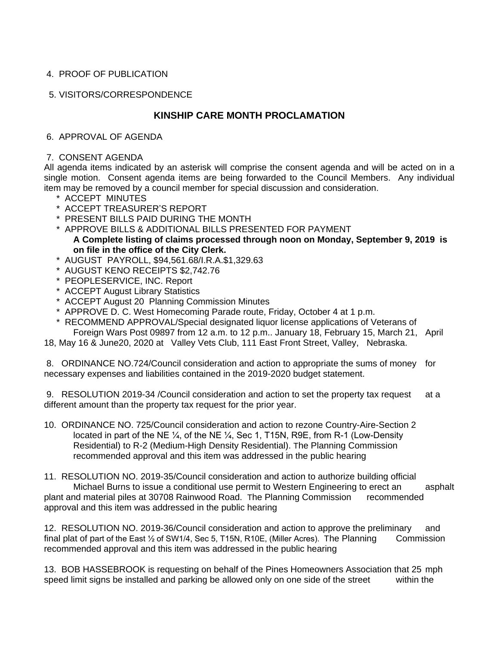## 4. PROOF OF PUBLICATION

### 5. VISITORS/CORRESPONDENCE

## **KINSHIP CARE MONTH PROCLAMATION**

### 6. APPROVAL OF AGENDA

#### 7. CONSENT AGENDA

All agenda items indicated by an asterisk will comprise the consent agenda and will be acted on in a single motion. Consent agenda items are being forwarded to the Council Members. Any individual item may be removed by a council member for special discussion and consideration.

- \* ACCEPT MINUTES
- \* ACCEPT TREASURER'S REPORT
- \* PRESENT BILLS PAID DURING THE MONTH
- \* APPROVE BILLS & ADDITIONAL BILLS PRESENTED FOR PAYMENT **A Complete listing of claims processed through noon on Monday, September 9, 2019 is on file in the office of the City Clerk.**
- \* AUGUST PAYROLL, \$94,561.68/I.R.A.\$1,329.63
- \* AUGUST KENO RECEIPTS \$2,742.76
- \* PEOPLESERVICE, INC. Report
- \* ACCEPT August Library Statistics
- \* ACCEPT August 20 Planning Commission Minutes
- \* APPROVE D. C. West Homecoming Parade route, Friday, October 4 at 1 p.m.
- \* RECOMMEND APPROVAL/Special designated liquor license applications of Veterans of Foreign Wars Post 09897 from 12 a.m. to 12 p.m.. January 18, February 15, March 21, April

18, May 16 & June20, 2020 at Valley Vets Club, 111 East Front Street, Valley, Nebraska.

8. ORDINANCE NO.724/Council consideration and action to appropriate the sums of money for necessary expenses and liabilities contained in the 2019-2020 budget statement.

9. RESOLUTION 2019-34 / Council consideration and action to set the property tax request at a different amount than the property tax request for the prior year.

10. ORDINANCE NO. 725/Council consideration and action to rezone Country-Aire-Section 2 located in part of the NE <sup>1/2</sup>, of the NE <sup>1/2</sup>, Sec 1, T15N, R9E, from R-1 (Low-Density Residential) to R-2 (Medium-High Density Residential). The Planning Commission recommended approval and this item was addressed in the public hearing

11. RESOLUTION NO. 2019-35/Council consideration and action to authorize building official Michael Burns to issue a conditional use permit to Western Engineering to erect an asphalt plant and material piles at 30708 Rainwood Road. The Planning Commission recommended approval and this item was addressed in the public hearing

12. RESOLUTION NO. 2019-36/Council consideration and action to approve the preliminary and final plat of part of the East  $\frac{1}{2}$  of SW1/4, Sec 5, T15N, R10E, (Miller Acres). The Planning Commission recommended approval and this item was addressed in the public hearing

13. BOB HASSEBROOK is requesting on behalf of the Pines Homeowners Association that 25 mph speed limit signs be installed and parking be allowed only on one side of the street within the